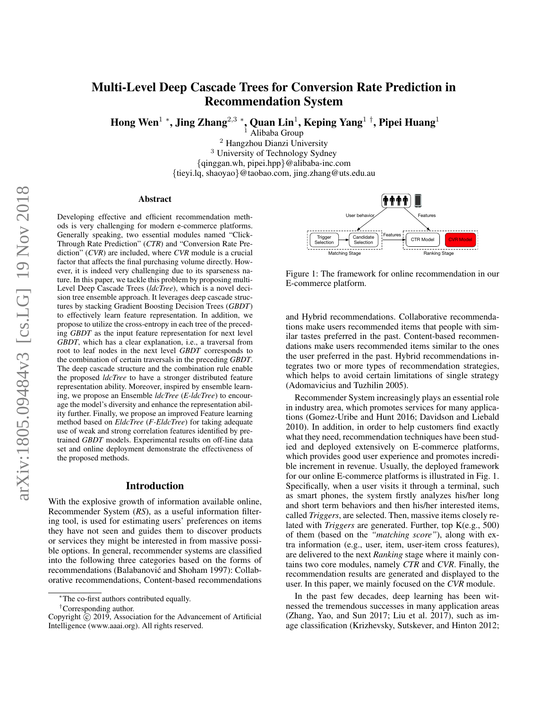# Multi-Level Deep Cascade Trees for Conversion Rate Prediction in Recommendation System

Hong Wen $^1$  \*, Jing Zhang $^{2,3}$  \*, Quan Lin $^1$ , Keping Yang $^1$   $^\dagger$ , Pipei Huang $^1$ 

<sup>1</sup> Alibaba Group <sup>2</sup> Hangzhou Dianzi University <sup>3</sup> University of Technology Sydney {qinggan.wh, pipei.hpp}@alibaba-inc.com {tieyi.lq, shaoyao}@taobao.com, jing.zhang@uts.edu.au

#### Abstract

Developing effective and efficient recommendation methods is very challenging for modern e-commerce platforms. Generally speaking, two essential modules named "Click-Through Rate Prediction" (*CTR*) and "Conversion Rate Prediction" (*CVR*) are included, where *CVR* module is a crucial factor that affects the final purchasing volume directly. However, it is indeed very challenging due to its sparseness nature. In this paper, we tackle this problem by proposing multi-Level Deep Cascade Trees (*ldcTree*), which is a novel decision tree ensemble approach. It leverages deep cascade structures by stacking Gradient Boosting Decision Trees (*GBDT*) to effectively learn feature representation. In addition, we propose to utilize the cross-entropy in each tree of the preceding *GBDT* as the input feature representation for next level *GBDT*, which has a clear explanation, i.e., a traversal from root to leaf nodes in the next level *GBDT* corresponds to the combination of certain traversals in the preceding *GBDT*. The deep cascade structure and the combination rule enable the proposed *ldcTree* to have a stronger distributed feature representation ability. Moreover, inspired by ensemble learning, we propose an Ensemble *ldcTree* (*E-ldcTree*) to encourage the model's diversity and enhance the representation ability further. Finally, we propose an improved Feature learning method based on *EldcTree* (*F-EldcTree*) for taking adequate use of weak and strong correlation features identified by pretrained *GBDT* models. Experimental results on off-line data set and online deployment demonstrate the effectiveness of the proposed methods.

### Introduction

With the explosive growth of information available online, Recommender System (*RS*), as a useful information filtering tool, is used for estimating users' preferences on items they have not seen and guides them to discover products or services they might be interested in from massive possible options. In general, recommender systems are classified into the following three categories based on the forms of recommendations (Balabanović and Shoham 1997): Collaborative recommendations, Content-based recommendations



Figure 1: The framework for online recommendation in our E-commerce platform.

and Hybrid recommendations. Collaborative recommendations make users recommended items that people with similar tastes preferred in the past. Content-based recommendations make users recommended items similar to the ones the user preferred in the past. Hybrid recommendations integrates two or more types of recommendation strategies, which helps to avoid certain limitations of single strategy (Adomavicius and Tuzhilin 2005).

Recommender System increasingly plays an essential role in industry area, which promotes services for many applications (Gomez-Uribe and Hunt 2016; Davidson and Liebald 2010). In addition, in order to help customers find exactly what they need, recommendation techniques have been studied and deployed extensively on E-commerce platforms, which provides good user experience and promotes incredible increment in revenue. Usually, the deployed framework for our online E-commerce platforms is illustrated in Fig. 1. Specifically, when a user visits it through a terminal, such as smart phones, the system firstly analyzes his/her long and short term behaviors and then his/her interested items, called *Triggers*, are selected. Then, massive items closely related with *Triggers* are generated. Further, top K(e.g., 500) of them (based on the *"matching score"*), along with extra information (e.g., user, item, user-item cross features), are delivered to the next *Ranking* stage where it mainly contains two core modules, namely *CTR* and *CVR*. Finally, the recommendation results are generated and displayed to the user. In this paper, we mainly focused on the *CVR* module.

In the past few decades, deep learning has been witnessed the tremendous successes in many application areas (Zhang, Yao, and Sun 2017; Liu et al. 2017), such as image classification (Krizhevsky, Sutskever, and Hinton 2012;

<sup>∗</sup>The co-first authors contributed equally.

<sup>†</sup>Corresponding author.

Copyright  $\hat{C}$  2019, Association for the Advancement of Artificial Intelligence (www.aaai.org). All rights reserved.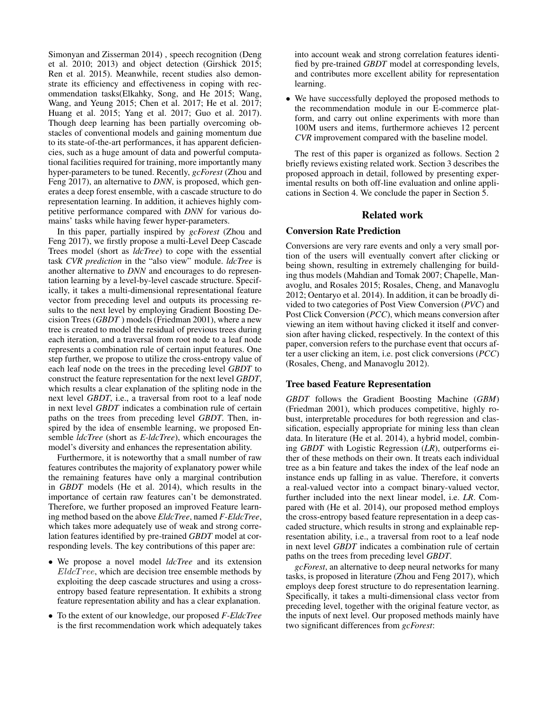Simonyan and Zisserman 2014) , speech recognition (Deng et al. 2010; 2013) and object detection (Girshick 2015; Ren et al. 2015). Meanwhile, recent studies also demonstrate its efficiency and effectiveness in coping with recommendation tasks(Elkahky, Song, and He 2015; Wang, Wang, and Yeung 2015; Chen et al. 2017; He et al. 2017; Huang et al. 2015; Yang et al. 2017; Guo et al. 2017). Though deep learning has been partially overcoming obstacles of conventional models and gaining momentum due to its state-of-the-art performances, it has apparent deficiencies, such as a huge amount of data and powerful computational facilities required for training, more importantly many hyper-parameters to be tuned. Recently, *gcForest* (Zhou and Feng 2017), an alternative to *DNN*, is proposed, which generates a deep forest ensemble, with a cascade structure to do representation learning. In addition, it achieves highly competitive performance compared with *DNN* for various domains' tasks while having fewer hyper-parameters.

In this paper, partially inspired by *gcForest* (Zhou and Feng 2017), we firstly propose a multi-Level Deep Cascade Trees model (short as *ldcTree*) to cope with the essential task *CVR prediction* in the "also view" module. *ldcTree* is another alternative to *DNN* and encourages to do representation learning by a level-by-level cascade structure. Specifically, it takes a multi-dimensional representational feature vector from preceding level and outputs its processing results to the next level by employing Gradient Boosting Decision Trees (*GBDT* ) models (Friedman 2001), where a new tree is created to model the residual of previous trees during each iteration, and a traversal from root node to a leaf node represents a combination rule of certain input features. One step further, we propose to utilize the cross-entropy value of each leaf node on the trees in the preceding level *GBDT* to construct the feature representation for the next level *GBDT*, which results a clear explanation of the spliting node in the next level *GBDT*, i.e., a traversal from root to a leaf node in next level *GBDT* indicates a combination rule of certain paths on the trees from preceding level *GBDT*. Then, inspired by the idea of ensemble learning, we proposed Ensemble *ldcTree* (short as *E-ldcTree*), which encourages the model's diversity and enhances the representation ability.

Furthermore, it is noteworthy that a small number of raw features contributes the majority of explanatory power while the remaining features have only a marginal contribution in *GBDT* models (He et al. 2014), which results in the importance of certain raw features can't be demonstrated. Therefore, we further proposed an improved Feature learning method based on the above *EldcTree*, named *F-EldcTree*, which takes more adequately use of weak and strong correlation features identified by pre-trained *GBDT* model at corresponding levels. The key contributions of this paper are:

- We propose a novel model *ldcTree* and its extension  $EldcTree$ , which are decision tree ensemble methods by exploiting the deep cascade structures and using a crossentropy based feature representation. It exhibits a strong feature representation ability and has a clear explanation.
- To the extent of our knowledge, our proposed *F-EldcTree* is the first recommendation work which adequately takes

into account weak and strong correlation features identified by pre-trained *GBDT* model at corresponding levels, and contributes more excellent ability for representation learning.

• We have successfully deployed the proposed methods to the recommendation module in our E-commerce platform, and carry out online experiments with more than 100M users and items, furthermore achieves 12 percent *CVR* improvement compared with the baseline model.

The rest of this paper is organized as follows. Section 2 briefly reviews existing related work. Section 3 describes the proposed approach in detail, followed by presenting experimental results on both off-line evaluation and online applications in Section 4. We conclude the paper in Section 5.

# Related work

# Conversion Rate Prediction

Conversions are very rare events and only a very small portion of the users will eventually convert after clicking or being shown, resulting in extremely challenging for building thus models (Mahdian and Tomak 2007; Chapelle, Manavoglu, and Rosales 2015; Rosales, Cheng, and Manavoglu 2012; Oentaryo et al. 2014). In addition, it can be broadly divided to two categories of Post View Conversion (*PVC*) and Post Click Conversion (*PCC*), which means conversion after viewing an item without having clicked it itself and conversion after having clicked, respectively. In the context of this paper, conversion refers to the purchase event that occurs after a user clicking an item, i.e. post click conversions (*PCC*) (Rosales, Cheng, and Manavoglu 2012).

# Tree based Feature Representation

*GBDT* follows the Gradient Boosting Machine (*GBM*) (Friedman 2001), which produces competitive, highly robust, interpretable procedures for both regression and classification, especially appropriate for mining less than clean data. In literature (He et al. 2014), a hybrid model, combining *GBDT* with Logistic Regression (*LR*), outperforms either of these methods on their own. It treats each individual tree as a bin feature and takes the index of the leaf node an instance ends up falling in as value. Therefore, it converts a real-valued vector into a compact binary-valued vector, further included into the next linear model, i.e. *LR*. Compared with (He et al. 2014), our proposed method employs the cross-entropy based feature representation in a deep cascaded structure, which results in strong and explainable representation ability, i.e., a traversal from root to a leaf node in next level *GBDT* indicates a combination rule of certain paths on the trees from preceding level *GBDT*.

*gcForest*, an alternative to deep neural networks for many tasks, is proposed in literature (Zhou and Feng 2017), which employs deep forest structure to do representation learning. Specifically, it takes a multi-dimensional class vector from preceding level, together with the original feature vector, as the inputs of next level. Our proposed methods mainly have two significant differences from *gcForest*: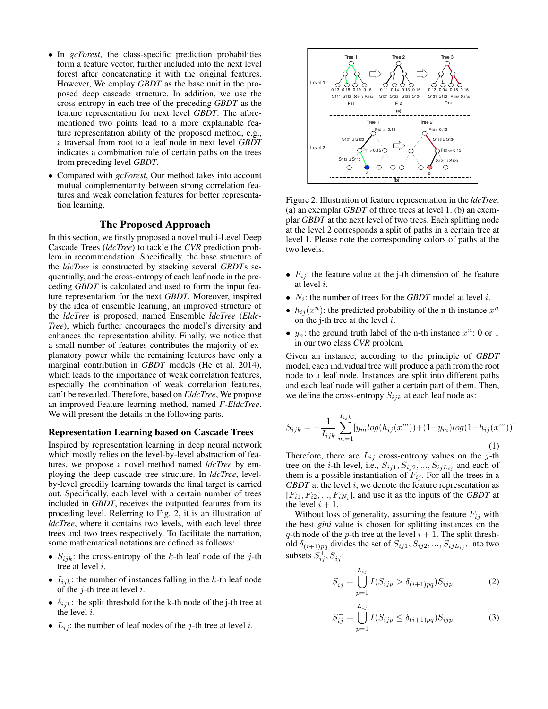- In *gcForest*, the class-specific prediction probabilities form a feature vector, further included into the next level forest after concatenating it with the original features. However, We employ *GBDT* as the base unit in the proposed deep cascade structure. In addition, we use the cross-entropy in each tree of the preceding *GBDT* as the feature representation for next level *GBDT*. The aforementioned two points lead to a more explainable feature representation ability of the proposed method, e.g., a traversal from root to a leaf node in next level *GBDT* indicates a combination rule of certain paths on the trees from preceding level *GBDT*.
- Compared with *gcForest*, Our method takes into account mutual complementarity between strong correlation features and weak correlation features for better representation learning.

# The Proposed Approach

In this section, we firstly proposed a novel multi-Level Deep Cascade Trees (*ldcTree*) to tackle the *CVR* prediction problem in recommendation. Specifically, the base structure of the *ldcTree* is constructed by stacking several *GBDT*s sequentially, and the cross-entropy of each leaf node in the preceding *GBDT* is calculated and used to form the input feature representation for the next *GBDT*. Moreover, inspired by the idea of ensemble learning, an improved structure of the *ldcTree* is proposed, named Ensemble *ldcTree* (*Eldc-Tree*), which further encourages the model's diversity and enhances the representation ability. Finally, we notice that a small number of features contributes the majority of explanatory power while the remaining features have only a marginal contribution in *GBDT* models (He et al. 2014), which leads to the importance of weak correlation features, especially the combination of weak correlation features, can't be revealed. Therefore, based on *EldcTree*, We propose an improved Feature learning method, named *F-EldcTree*. We will present the details in the following parts.

#### Representation Learning based on Cascade Trees

Inspired by representation learning in deep neural network which mostly relies on the level-by-level abstraction of features, we propose a novel method named *ldcTree* by employing the deep cascade tree structure. In *ldcTree*, levelby-level greedily learning towards the final target is carried out. Specifically, each level with a certain number of trees included in *GBDT*, receives the outputted features from its proceding level. Referring to Fig. 2, it is an illustration of *ldcTree*, where it contains two levels, with each level three trees and two trees respectively. To facilitate the narration, some mathematical notations are defined as follows:

- $S_{ijk}$ : the cross-entropy of the k-th leaf node of the j-th tree at level i.
- $I_{ijk}$ : the number of instances falling in the k-th leaf node of the  $j$ -th tree at level  $i$ .
- $\delta_{ijk}$ : the split threshold for the k-th node of the j-th tree at the level i.
- $L_{ij}$ : the number of leaf nodes of the j-th tree at level i.



Figure 2: Illustration of feature representation in the *ldcTree*. (a) an exemplar *GBDT* of three trees at level 1. (b) an exemplar *GBDT* at the next level of two trees. Each splitting node at the level 2 corresponds a split of paths in a certain tree at level 1. Please note the corresponding colors of paths at the two levels.

- $F_{ij}$ : the feature value at the j-th dimension of the feature at level i.
- $N_i$ : the number of trees for the *GBDT* model at level *i*.
- $h_{ij}(x^n)$ : the predicted probability of the n-th instance  $x^n$ on the j-th tree at the level  $i$ .
- $y_n$ : the ground truth label of the n-th instance  $x^n$ : 0 or 1 in our two class *CVR* problem.

Given an instance, according to the principle of *GBDT* model, each individual tree will produce a path from the root node to a leaf node. Instances are split into different paths and each leaf node will gather a certain part of them. Then, we define the cross-entropy  $S_{ijk}$  at each leaf node as:

$$
S_{ijk} = -\frac{1}{I_{ijk}} \sum_{m=1}^{I_{ijk}} [y_m \log(h_{ij}(x^m)) + (1 - y_m) \log(1 - h_{ij}(x^m))]
$$
\n(1)

Therefore, there are  $L_{ij}$  cross-entropy values on the j-th tree on the *i*-th level, i.e.,  $S_{ij1}, S_{ij2}, ..., S_{ijL_{ij}}$  and each of them is a possible instantiation of  $F_{ij}$ . For all the trees in a *GBDT* at the level i, we denote the feature representation as  $[F_{i1}, F_{i2}, ..., F_{iN_i}]$ , and use it as the inputs of the *GBDT* at the level  $i + 1$ .

Without loss of generality, assuming the feature  $F_{ij}$  with the best *gini* value is chosen for splitting instances on the q-th node of the p-th tree at the level  $i + 1$ . The split threshold  $\delta_{(i+1)pq}$  divides the set of  $S_{ij1}, S_{ij2}, ..., S_{ijL_{ij}}$ , into two subsets  $S_{ij}^+, S_{ij}^-$ :

)<br>A

$$
S_{ij}^{+} = \bigcup_{p=1}^{L_{ij}} I(S_{ijp} > \delta_{(i+1)pq}) S_{ijp}
$$
 (2)

$$
S_{ij}^{-} = \bigcup_{p=1}^{L_{ij}} I(S_{ijp} \le \delta_{(i+1)pq}) S_{ijp}
$$
 (3)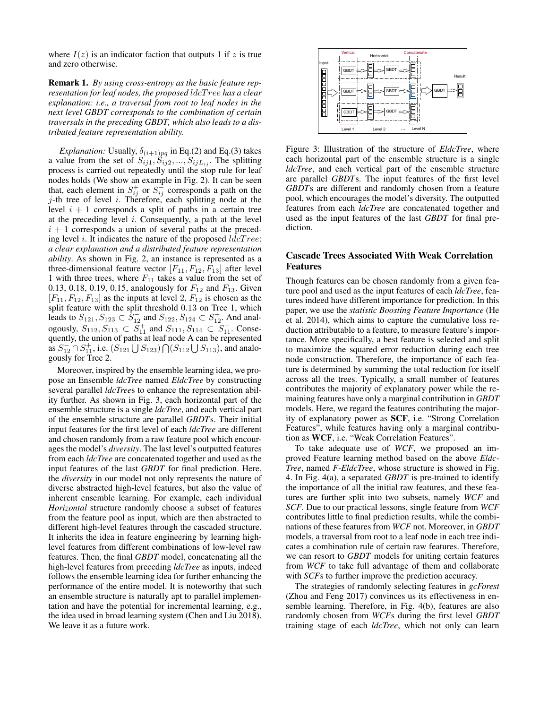where  $I(z)$  is an indicator faction that outputs 1 if z is true and zero otherwise.

Remark 1. *By using cross-entropy as the basic feature representation for leaf nodes, the proposed* ldcT ree *has a clear explanation: i.e., a traversal from root to leaf nodes in the next level GBDT corresponds to the combination of certain traversals in the preceding GBDT, which also leads to a distributed feature representation ability.*

*Explanation:* Usually,  $\delta_{(i+1)pq}$  in Eq.(2) and Eq.(3) takes a value from the set of  $S_{ij1}, \tilde{S}_{ij2}, ..., S_{ijL_{ij}}$ . The splitting process is carried out repeatedly until the stop rule for leaf nodes holds (We show an example in Fig. 2). It can be seen that, each element in  $S_{ij}^+$  or  $S_{ij}^-$  corresponds a path on the  $j$ -th tree of level i. Therefore, each splitting node at the level  $i + 1$  corresponds a split of paths in a certain tree at the preceding level  $i$ . Consequently, a path at the level  $i + 1$  corresponds a union of several paths at the preceding level i. It indicates the nature of the proposed  $ldcTree$ : *a clear explanation and a distributed feature representation ability*. As shown in Fig. 2, an instance is represented as a three-dimensional feature vector  $[F_{11}, F_{12}, F_{13}]$  after level 1 with three trees, where  $F_{11}$  takes a value from the set of 0.13, 0.18, 0.19, 0.15, analogously for  $F_{12}$  and  $F_{13}$ . Given  $[F_{11}, F_{12}, F_{13}]$  as the inputs at level 2,  $F_{12}$  is chosen as the split feature with the split threshold 0.13 on Tree 1, which leads to  $S_{121}, S_{123} \subset S_{12}^-$  and  $S_{122}, S_{124} \subset S_{12}^+$ . And analogously,  $S_{112}, S_{113} \subset \overline{S}_{11}^+$  and  $S_{111}, S_{114} \subset \overline{S}_{11}^-$ . Consequently, the union of paths at leaf node A can be represented as  $S_{12}^- \cap S_{11}^+$ , i.e.  $(S_{121} \cup S_{123}) \cap (S_{112} \cup S_{113})$ , and analogously for Tree 2.

Moreover, inspired by the ensemble learning idea, we propose an Ensemble *ldcTree* named *EldcTree* by constructing several parallel *ldcTree*s to enhance the representation ability further. As shown in Fig. 3, each horizontal part of the ensemble structure is a single *ldcTree*, and each vertical part of the ensemble structure are parallel *GBDT*s. Their initial input features for the first level of each *ldcTree* are different and chosen randomly from a raw feature pool which encourages the model's *diversity*. The last level's outputted features from each *ldcTree* are concatenated together and used as the input features of the last *GBDT* for final prediction. Here, the *diversity* in our model not only represents the nature of diverse abstracted high-level features, but also the value of inherent ensemble learning. For example, each individual *Horizontal* structure randomly choose a subset of features from the feature pool as input, which are then abstracted to different high-level features through the cascaded structure. It inherits the idea in feature engineering by learning highlevel features from different combinations of low-level raw features. Then, the final *GBDT* model, concatenating all the high-level features from preceding *ldcTree* as inputs, indeed follows the ensemble learning idea for further enhancing the performance of the entire model. It is noteworthy that such an ensemble structure is naturally apt to parallel implementation and have the potential for incremental learning, e.g., the idea used in broad learning system (Chen and Liu 2018). We leave it as a future work.



Figure 3: Illustration of the structure of *EldcTree*, where each horizontal part of the ensemble structure is a single *ldcTree*, and each vertical part of the ensemble structure are parallel *GBDT*s. The input features of the first level *GBDT*s are different and randomly chosen from a feature pool, which encourages the model's diversity. The outputted features from each *ldcTree* are concatenated together and used as the input features of the last *GBDT* for final prediction.

# Cascade Trees Associated With Weak Correlation Features

Though features can be chosen randomly from a given feature pool and used as the input features of each *ldcTree*, features indeed have different importance for prediction. In this paper, we use the *statistic Boosting Feature Importance* (He et al. 2014), which aims to capture the cumulative loss reduction attributable to a feature, to measure feature's importance. More specifically, a best feature is selected and split to maximize the squared error reduction during each tree node construction. Therefore, the importance of each feature is determined by summing the total reduction for itself across all the trees. Typically, a small number of features contributes the majority of explanatory power while the remaining features have only a marginal contribution in *GBDT* models. Here, we regard the features contributing the majority of explanatory power as SCF, i.e. "Strong Correlation Features", while features having only a marginal contribution as WCF, i.e. "Weak Correlation Features".

To take adequate use of *WCF*, we proposed an improved Feature learning method based on the above *Eldc-Tree*, named *F-EldcTree*, whose structure is showed in Fig. 4. In Fig. 4(a), a separated *GBDT* is pre-trained to identify the importance of all the initial raw features, and these features are further split into two subsets, namely *WCF* and *SCF*. Due to our practical lessons, single feature from *WCF* contributes little to final prediction results, while the combinations of these features from *WCF* not. Moreover, in *GBDT* models, a traversal from root to a leaf node in each tree indicates a combination rule of certain raw features. Therefore, we can resort to *GBDT* models for uniting certain features from *WCF* to take full advantage of them and collaborate with *SCF*s to further improve the prediction accuracy.

The strategies of randomly selecting features in *gcForest* (Zhou and Feng 2017) convinces us its effectiveness in ensemble learning. Therefore, in Fig. 4(b), features are also randomly chosen from *WCF*s during the first level *GBDT* training stage of each *ldcTree*, which not only can learn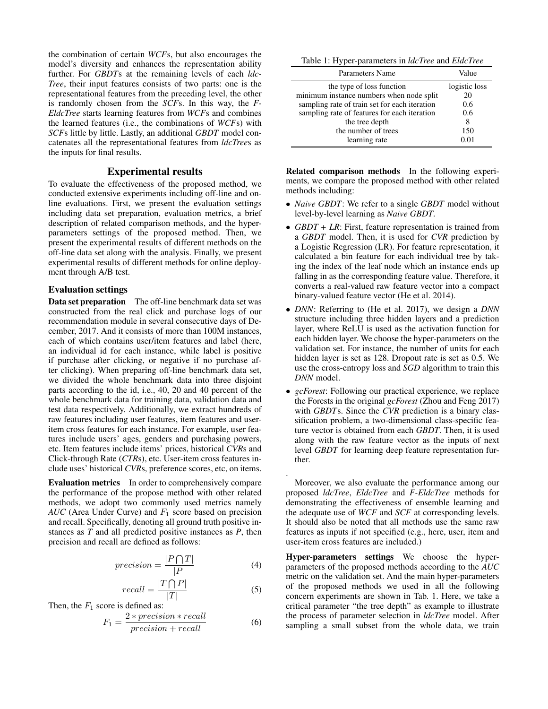the combination of certain *WCF*s, but also encourages the model's diversity and enhances the representation ability further. For *GBDT*s at the remaining levels of each *ldc-Tree*, their input features consists of two parts: one is the representational features from the preceding level, the other is randomly chosen from the *SCF*s. In this way, the *F-EldcTree* starts learning features from *WCF*s and combines the learned features (i.e., the combinations of *WCF*s) with *SCF*s little by little. Lastly, an additional *GBDT* model concatenates all the representational features from *ldcTree*s as the inputs for final results.

# Experimental results

To evaluate the effectiveness of the proposed method, we conducted extensive experiments including off-line and online evaluations. First, we present the evaluation settings including data set preparation, evaluation metrics, a brief description of related comparison methods, and the hyperparameters settings of the proposed method. Then, we present the experimental results of different methods on the off-line data set along with the analysis. Finally, we present experimental results of different methods for online deployment through A/B test.

### Evaluation settings

Data set preparation The off-line benchmark data set was constructed from the real click and purchase logs of our recommendation module in several consecutive days of December, 2017. And it consists of more than 100M instances, each of which contains user/item features and label (here, an individual id for each instance, while label is positive if purchase after clicking, or negative if no purchase after clicking). When preparing off-line benchmark data set, we divided the whole benchmark data into three disjoint parts according to the id, i.e., 40, 20 and 40 percent of the whole benchmark data for training data, validation data and test data respectively. Additionally, we extract hundreds of raw features including user features, item features and useritem cross features for each instance. For example, user features include users' ages, genders and purchasing powers, etc. Item features include items' prices, historical *CVR*s and Click-through Rate (*CTR*s), etc. User-item cross features include uses' historical *CVR*s, preference scores, etc, on items.

Evaluation metrics In order to comprehensively compare the performance of the propose method with other related methods, we adopt two commonly used metrics namely  $AUC$  (Area Under Curve) and  $F_1$  score based on precision and recall. Specifically, denoting all ground truth positive instances as *T* and all predicted positive instances as *P*, then precision and recall are defined as follows:

$$
precision = \frac{|P \bigcap T|}{|P|} \tag{4}
$$

$$
recall = \frac{|T \bigcap P|}{|T|} \tag{5}
$$

Then, the  $F_1$  score is defined as:

$$
F_1 = \frac{2 * precision * recall}{precision + recall}
$$
 (6)

Table 1: Hyper-parameters in *ldcTree* and *EldcTree*

| Parameters Name                               | Value         |  |  |
|-----------------------------------------------|---------------|--|--|
| the type of loss function                     | logistic loss |  |  |
| minimum instance numbers when node split      | 20            |  |  |
| sampling rate of train set for each iteration | 0.6           |  |  |
| sampling rate of features for each iteration  | 0.6           |  |  |
| the tree depth                                | 8             |  |  |
| the number of trees                           | 150           |  |  |
| learning rate                                 |               |  |  |

Related comparison methods In the following experiments, we compare the proposed method with other related methods including:

- *Naive GBDT*: We refer to a single *GBDT* model without level-by-level learning as *Naive GBDT*.
- *GBDT* + *LR*: First, feature representation is trained from a *GBDT* model. Then, it is used for *CVR* prediction by a Logistic Regression (LR). For feature representation, it calculated a bin feature for each individual tree by taking the index of the leaf node which an instance ends up falling in as the corresponding feature value. Therefore, it converts a real-valued raw feature vector into a compact binary-valued feature vector (He et al. 2014).
- *DNN*: Referring to (He et al. 2017), we design a *DNN* structure including three hidden layers and a prediction layer, where ReLU is used as the activation function for each hidden layer. We choose the hyper-parameters on the validation set. For instance, the number of units for each hidden layer is set as 128. Dropout rate is set as 0.5. We use the cross-entropy loss and *SGD* algorithm to train this *DNN* model.
- *gcForest*: Following our practical experience, we replace the Forests in the original *gcForest* (Zhou and Feng 2017) with *GBDT*s. Since the *CVR* prediction is a binary classification problem, a two-dimensional class-specific feature vector is obtained from each *GBDT*. Then, it is used along with the raw feature vector as the inputs of next level *GBDT* for learning deep feature representation further.

Moreover, we also evaluate the performance among our proposed *ldcTree*, *EldcTree* and *F-EldcTree* methods for demonstrating the effectiveness of ensemble learning and the adequate use of *WCF* and *SCF* at corresponding levels. It should also be noted that all methods use the same raw features as inputs if not specified (e.g., here, user, item and user-item cross features are included.)

.

Hyper-parameters settings We choose the hyperparameters of the proposed methods according to the *AUC* metric on the validation set. And the main hyper-parameters of the proposed methods we used in all the following concern experiments are shown in Tab. 1. Here, we take a critical parameter "the tree depth" as example to illustrate the process of parameter selection in *ldcTree* model. After sampling a small subset from the whole data, we train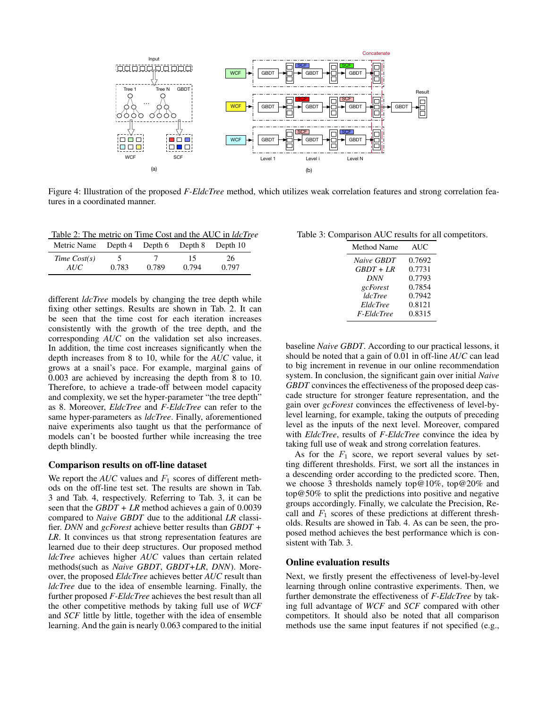

Figure 4: Illustration of the proposed *F-EldcTree* method, which utilizes weak correlation features and strong correlation features in a coordinated manner.

Table 2: The metric on Time Cost and the AUC in *ldcTree*

| Metric Name Depth 4 Depth 6 Depth 8 Depth 10 |       |       |             |             |
|----------------------------------------------|-------|-------|-------------|-------------|
| Time Cost(s)<br><i>AUC</i>                   | 0.783 | 0.789 | 15<br>0.794 | 26<br>0.797 |

different *ldcTree* models by changing the tree depth while fixing other settings. Results are shown in Tab. 2. It can be seen that the time cost for each iteration increases consistently with the growth of the tree depth, and the corresponding *AUC* on the validation set also increases. In addition, the time cost increases significantly when the depth increases from 8 to 10, while for the *AUC* value, it grows at a snail's pace. For example, marginal gains of 0.003 are achieved by increasing the depth from 8 to 10. Therefore, to achieve a trade-off between model capacity and complexity, we set the hyper-parameter "the tree depth" as 8. Moreover, *EldcTree* and *F-EldcTree* can refer to the same hyper-parameters as *ldcTree*. Finally, aforementioned naive experiments also taught us that the performance of models can't be boosted further while increasing the tree depth blindly.

### Comparison results on off-line dataset

We report the  $AUC$  values and  $F_1$  scores of different methods on the off-line test set. The results are shown in Tab. 3 and Tab. 4, respectively. Referring to Tab. 3, it can be seen that the *GBDT + LR* method achieves a gain of 0.0039 compared to *Naive GBDT* due to the additional *LR* classifier. *DNN* and *gcForest* achieve better results than *GBDT + LR*. It convinces us that strong representation features are learned due to their deep structures. Our proposed method *ldcTree* achieves higher *AUC* values than certain related methods(such as *Naive GBDT*, *GBDT+LR*, *DNN*). Moreover, the proposed *EldcTree* achieves better *AUC* result than *ldcTree* due to the idea of ensemble learning. Finally, the further proposed *F-EldcTree* achieves the best result than all the other competitive methods by taking full use of *WCF* and *SCF* little by little, together with the idea of ensemble learning. And the gain is nearly 0.063 compared to the initial

Table 3: Comparison AUC results for all competitors.

| Method Name           | <b>AUC</b> |
|-----------------------|------------|
| Naive GBDT            | 0.7692     |
| $GBDT + LR$           | 0.7731     |
| <b>DNN</b>            | 0.7793     |
| gcForest              | 0.7854     |
| <i><b>ldcTree</b></i> | 0.7942     |
| EldcTree              | 0.8121     |
| F-EldcTree            | 0.8315     |

baseline *Naive GBDT*. According to our practical lessons, it should be noted that a gain of 0.01 in off-line *AUC* can lead to big increment in revenue in our online recommendation system. In conclusion, the significant gain over initial *Naive GBDT* convinces the effectiveness of the proposed deep cascade structure for stronger feature representation, and the gain over *gcForest* convinces the effectiveness of level-bylevel learning, for example, taking the outputs of preceding level as the inputs of the next level. Moreover, compared with *EldcTree*, results of *F-EldcTree* convince the idea by taking full use of weak and strong correlation features.

As for the  $F_1$  score, we report several values by setting different thresholds. First, we sort all the instances in a descending order according to the predicted score. Then, we choose 3 thresholds namely top@10%, top@20% and top@50% to split the predictions into positive and negative groups accordingly. Finally, we calculate the Precision, Recall and  $F_1$  scores of these predictions at different thresholds. Results are showed in Tab. 4. As can be seen, the proposed method achieves the best performance which is consistent with Tab. 3.

### Online evaluation results

Next, we firstly present the effectiveness of level-by-level learning through online contrastive experiments. Then, we further demonstrate the effectiveness of *F-EldcTree* by taking full advantage of *WCF* and *SCF* compared with other competitors. It should also be noted that all comparison methods use the same input features if not specified (e.g.,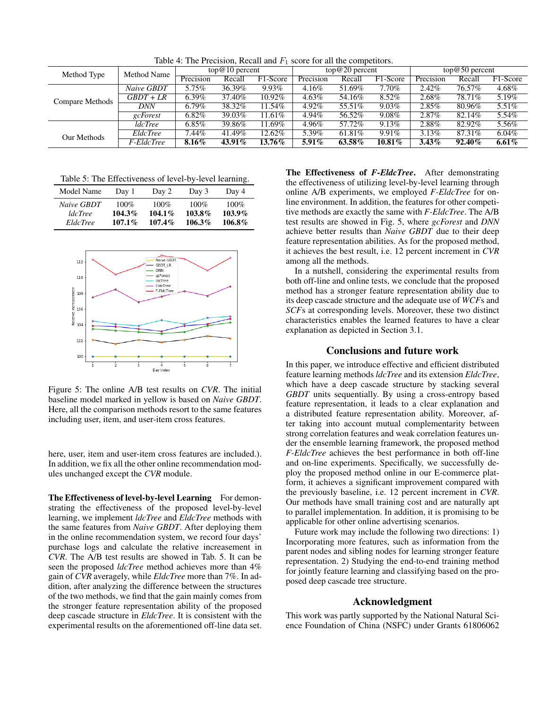Table 4: The Precision, Recall and  $F_1$  score for all the competitors.

| Method Name<br>Method Type |               | $top@10$ percent |        | $top@20$ percent |           |        | $top@50$ percent |           |           |          |
|----------------------------|---------------|------------------|--------|------------------|-----------|--------|------------------|-----------|-----------|----------|
|                            |               | Precision        | Recall | F1-Score         | Precision | Recall | F1-Score         | Precision | Recall    | F1-Score |
| Compare Methods            | Naive GBDT    | 5.75%            | 36.39% | $9.93\%$         | 4.16%     | 51.69% | $7.70\%$         | 2.42%     | 76.57%    | 4.68%    |
|                            | $GBDT+LR$     | $6.39\%$         | 37.40% | 10.92%           | $4.63\%$  | 54.16% | 8.52%            | 2.68%     | 78.71%    | 5.19%    |
|                            | <b>DNN</b>    | $6.79\%$         | 38.32% | 1.54%            | $4.92\%$  | 55.51% | $9.03\%$         | $2.85\%$  | 80.96%    | $5.51\%$ |
|                            | gcForest      | $6.82\%$         | 39.03% | $1.61\%$         | 4.94%     | 56.52% | $9.08\%$         | $2.87\%$  | 82.14%    | 5.54%    |
|                            | <i>dcTree</i> | $6.85\%$         | 39.86% | 1.69%            | 4.96%     | 57.72% | 9.13%            | 2.88%     | 82.92%    | 5.56%    |
| Our Methods                | EldcTree      | $7.44\%$         | 41.49% | 12.62%           | 5.39%     | 61.81% | 9.91%            | $3.13\%$  | 87.31\%   | $6.04\%$ |
|                            | F-EldcTree    | $8.16\%$         | 43.91% | 13.76%           | $5.91\%$  | 63.58% | $10.81\%$        | $3.43\%$  | $92.40\%$ | $6.61\%$ |

Table 5: The Effectiveness of level-by-level learning.

| Model Name      | Day 1     | Day 2     | Day 3     | Day 4   |
|-----------------|-----------|-----------|-----------|---------|
| Naive GBDT      | $100\%$   | $100\%$   | $100\%$   | $100\%$ |
| <i>ldcTree</i>  | $104.3\%$ | $104.1\%$ | 103.8%    | 103.9%  |
| <i>EldcTree</i> | $107.1\%$ | $107.4\%$ | $106.3\%$ | 106.8%  |



Figure 5: The online A/B test results on *CVR*. The initial baseline model marked in yellow is based on *Naive GBDT*. Here, all the comparison methods resort to the same features including user, item, and user-item cross features.

here, user, item and user-item cross features are included.). In addition, we fix all the other online recommendation modules unchanged except the *CVR* module.

The Effectiveness of level-by-level Learning For demonstrating the effectiveness of the proposed level-by-level learning, we implement *ldcTree* and *EldcTree* methods with the same features from *Naive GBDT*. After deploying them in the online recommendation system, we record four days' purchase logs and calculate the relative increasement in *CVR*. The A/B test results are showed in Tab. 5. It can be seen the proposed *ldcTree* method achieves more than 4% gain of *CVR* averagely, while *EldcTree* more than 7%. In addition, after analyzing the difference between the structures of the two methods, we find that the gain mainly comes from the stronger feature representation ability of the proposed deep cascade structure in *EldcTree*. It is consistent with the experimental results on the aforementioned off-line data set.

The Effectiveness of *F-EldcTree*. After demonstrating the effectiveness of utilizing level-by-level learning through online A/B experiments, we employed *F-EldcTree* for online environment. In addition, the features for other competitive methods are exactly the same with *F-EldcTree*. The A/B test results are showed in Fig. 5, where *gcForest* and *DNN* achieve better results than *Naive GBDT* due to their deep feature representation abilities. As for the proposed method, it achieves the best result, i.e. 12 percent increment in *CVR* among all the methods.

In a nutshell, considering the experimental results from both off-line and online tests, we conclude that the proposed method has a stronger feature representation ability due to its deep cascade structure and the adequate use of *WCF*s and *SCF*s at corresponding levels. Moreover, these two distinct characteristics enables the learned features to have a clear explanation as depicted in Section 3.1.

### Conclusions and future work

In this paper, we introduce effective and efficient distributed feature learning methods *ldcTree* and its extension *EldcTree*, which have a deep cascade structure by stacking several *GBDT* units sequentially. By using a cross-entropy based feature representation, it leads to a clear explanation and a distributed feature representation ability. Moreover, after taking into account mutual complementarity between strong correlation features and weak correlation features under the ensemble learning framework, the proposed method *F-EldcTree* achieves the best performance in both off-line and on-line experiments. Specifically, we successfully deploy the proposed method online in our E-commerce platform, it achieves a significant improvement compared with the previously baseline, i.e. 12 percent increment in *CVR*. Our methods have small training cost and are naturally apt to parallel implementation. In addition, it is promising to be applicable for other online advertising scenarios.

Future work may include the following two directions: 1) Incorporating more features, such as information from the parent nodes and sibling nodes for learning stronger feature representation. 2) Studying the end-to-end training method for jointly feature learning and classifying based on the proposed deep cascade tree structure.

# Acknowledgment

This work was partly supported by the National Natural Science Foundation of China (NSFC) under Grants 61806062